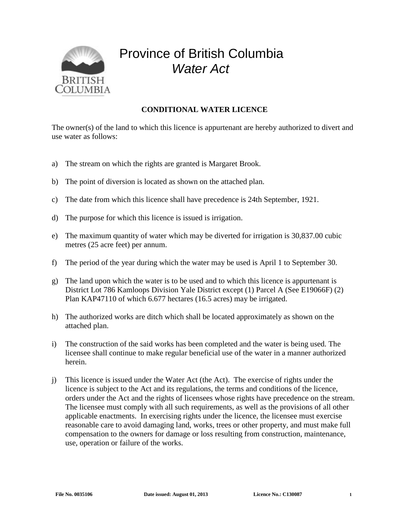

## Province of British Columbia *Water Act*

## **CONDITIONAL WATER LICENCE**

The owner(s) of the land to which this licence is appurtenant are hereby authorized to divert and use water as follows:

- a) The stream on which the rights are granted is Margaret Brook.
- b) The point of diversion is located as shown on the attached plan.
- c) The date from which this licence shall have precedence is 24th September, 1921.
- d) The purpose for which this licence is issued is irrigation.
- e) The maximum quantity of water which may be diverted for irrigation is 30,837.00 cubic metres (25 acre feet) per annum.
- f) The period of the year during which the water may be used is April 1 to September 30.
- g) The land upon which the water is to be used and to which this licence is appurtenant is District Lot 786 Kamloops Division Yale District except (1) Parcel A (See E19066F) (2) Plan KAP47110 of which 6.677 hectares (16.5 acres) may be irrigated.
- h) The authorized works are ditch which shall be located approximately as shown on the attached plan.
- i) The construction of the said works has been completed and the water is being used. The licensee shall continue to make regular beneficial use of the water in a manner authorized herein.
- j) This licence is issued under the Water Act (the Act). The exercise of rights under the licence is subject to the Act and its regulations, the terms and conditions of the licence, orders under the Act and the rights of licensees whose rights have precedence on the stream. The licensee must comply with all such requirements, as well as the provisions of all other applicable enactments. In exercising rights under the licence, the licensee must exercise reasonable care to avoid damaging land, works, trees or other property, and must make full compensation to the owners for damage or loss resulting from construction, maintenance, use, operation or failure of the works.